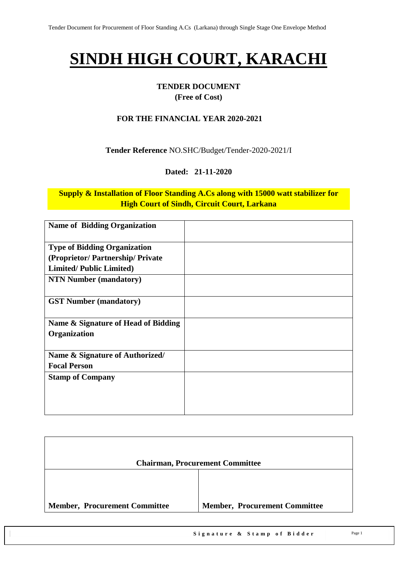# **SINDH HIGH COURT, KARACHI**

# **TENDER DOCUMENT**

#### **(Free of Cost)**

#### **FOR THE FINANCIAL YEAR 2020-2021**

#### **Tender Reference** NO.SHC/Budget/Tender-2020-2021/I

#### **Dated: 21-11-2020**

#### **Supply & Installation of Floor Standing A.Cs along with 15000 watt stabilizer for High Court of Sindh, Circuit Court, Larkana**

| <b>Name of Bidding Organization</b> |  |
|-------------------------------------|--|
| <b>Type of Bidding Organization</b> |  |
| (Proprietor/Partnership/Private     |  |
| <b>Limited/Public Limited)</b>      |  |
| <b>NTN Number (mandatory)</b>       |  |
| <b>GST Number (mandatory)</b>       |  |
| Name & Signature of Head of Bidding |  |
| Organization                        |  |
| Name & Signature of Authorized/     |  |
| <b>Focal Person</b>                 |  |
| <b>Stamp of Company</b>             |  |
|                                     |  |
|                                     |  |
|                                     |  |

|                                      | <b>Chairman, Procurement Committee</b> |
|--------------------------------------|----------------------------------------|
|                                      |                                        |
| <b>Member, Procurement Committee</b> | <b>Member, Procurement Committee</b>   |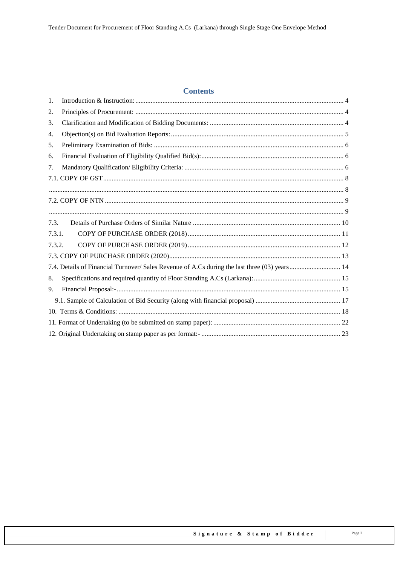#### **Contents**

| 7.4. Details of Financial Turnover/ Sales Revenue of A.Cs during the last three (03) years  14 |
|------------------------------------------------------------------------------------------------|
|                                                                                                |
|                                                                                                |
|                                                                                                |
|                                                                                                |
|                                                                                                |
|                                                                                                |
|                                                                                                |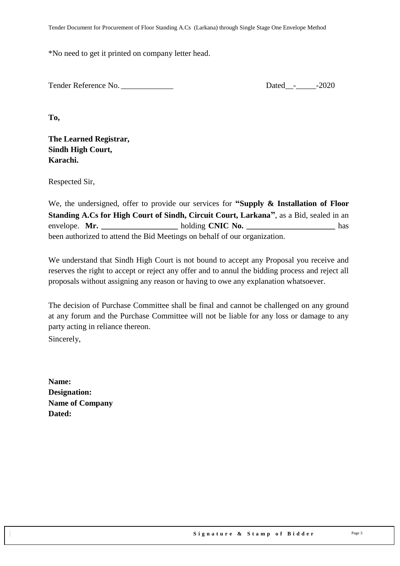\*No need to get it printed on company letter head.

Tender Reference No. 2020

**To,** 

**The Learned Registrar, Sindh High Court, Karachi.**

Respected Sir,

We, the undersigned, offer to provide our services for **"Supply & Installation of Floor Standing A.Cs for High Court of Sindh, Circuit Court, Larkana"**, as a Bid, sealed in an envelope. **Mr.** holding **CNIC No.** has been authorized to attend the Bid Meetings on behalf of our organization.

We understand that Sindh High Court is not bound to accept any Proposal you receive and reserves the right to accept or reject any offer and to annul the bidding process and reject all proposals without assigning any reason or having to owe any explanation whatsoever.

The decision of Purchase Committee shall be final and cannot be challenged on any ground at any forum and the Purchase Committee will not be liable for any loss or damage to any party acting in reliance thereon.

Sincerely,

**Name: Designation: Name of Company Dated:**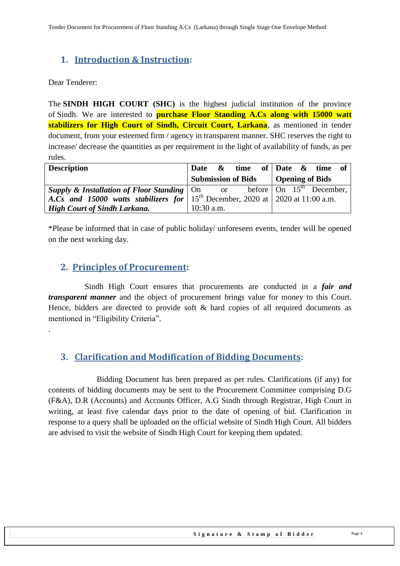# <span id="page-3-0"></span>**1. Introduction & Instruction:**

Dear Tenderer:

.

The **SINDH HIGH COURT (SHC)** is the highest judicial institution of the province of [Sindh.](https://en.wikipedia.org/wiki/Sindh) We are interested to **purchase Floor Standing A.Cs along with 15000 watt stabilizers for High Court of Sindh, Circuit Court, Larkana**, as mentioned in tender document, from your esteemed firm / agency in transparent manner. SHC reserves the right to increase/ decrease the quantities as per requirement in the light of availability of funds, as per rules.

| <b>Description</b>                                                                                            |              |  |  | Date $\&$ time of Date $\&$ time of  |  |
|---------------------------------------------------------------------------------------------------------------|--------------|--|--|--------------------------------------|--|
|                                                                                                               |              |  |  | Submission of Bids   Opening of Bids |  |
| <b>Supply &amp; Installation of Floor Standing</b> $\vert$ On or before $\vert$ On 15 <sup>th</sup> December, |              |  |  |                                      |  |
| A.Cs and 15000 watts stabilizers for 15 <sup>th</sup> December, 2020 at 2020 at 11:00 a.m.                    |              |  |  |                                      |  |
| <b>High Court of Sindh Larkana.</b>                                                                           | $10:30$ a.m. |  |  |                                      |  |

<span id="page-3-1"></span>\*Please be informed that in case of public holiday/ unforeseen events, tender will be opened on the next working day.

#### **2. Principles of Procurement:**

 Sindh High Court ensures that procurements are conducted in a *fair and transparent manner* and the object of procurement brings value for money to this Court. Hence, bidders are directed to provide soft & hard copies of all required documents as mentioned in "Eligibility Criteria".

#### <span id="page-3-2"></span>**3. Clarification and Modification of Bidding Documents:**

Bidding Document has been prepared as per rules. Clarifications (if any) for contents of bidding documents may be sent to the Procurement Committee comprising D.G (F&A), D.R (Accounts) and Accounts Officer, A.G Sindh through Registrar, High Court in writing, at least five calendar days prior to the date of opening of bid. Clarification in response to a query shall be uploaded on the official website of Sindh High Court. All bidders are advised to visit the website of Sindh High Court for keeping them updated.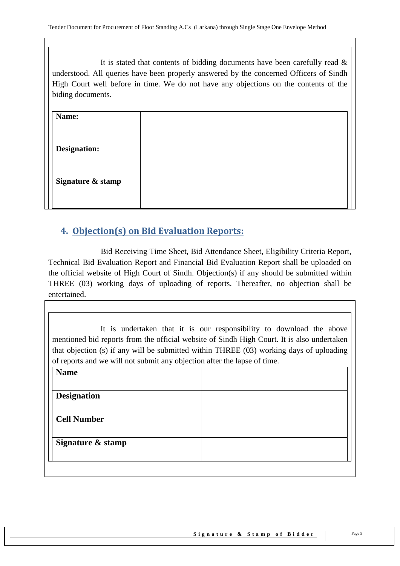It is stated that contents of bidding documents have been carefully read  $\&$ understood. All queries have been properly answered by the concerned Officers of Sindh High Court well before in time. We do not have any objections on the contents of the biding documents.

| Name:               |  |
|---------------------|--|
| <b>Designation:</b> |  |
| Signature & stamp   |  |
|                     |  |

# <span id="page-4-0"></span>**4. Objection(s) on Bid Evaluation Reports:**

 Bid Receiving Time Sheet, Bid Attendance Sheet, Eligibility Criteria Report, Technical Bid Evaluation Report and Financial Bid Evaluation Report shall be uploaded on the official website of High Court of Sindh. Objection(s) if any should be submitted within THREE (03) working days of uploading of reports. Thereafter, no objection shall be entertained.

It is undertaken that it is our responsibility to download the above mentioned bid reports from the official website of Sindh High Court. It is also undertaken that objection (s) if any will be submitted within THREE (03) working days of uploading of reports and we will not submit any objection after the lapse of time.

| <b>Name</b>        |  |
|--------------------|--|
| <b>Designation</b> |  |
|                    |  |
| <b>Cell Number</b> |  |
| Signature & stamp  |  |
|                    |  |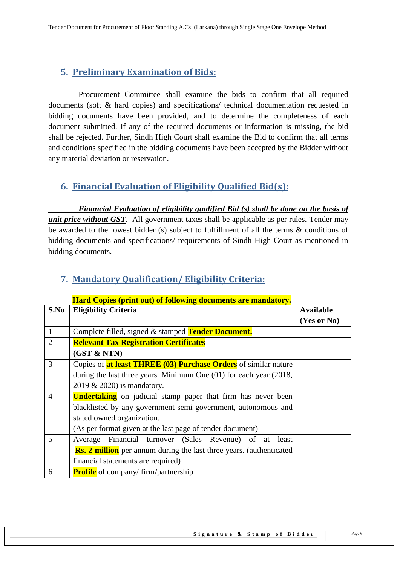# <span id="page-5-0"></span>**5. Preliminary Examination of Bids:**

 Procurement Committee shall examine the bids to confirm that all required documents (soft & hard copies) and specifications/ technical documentation requested in bidding documents have been provided, and to determine the completeness of each document submitted. If any of the required documents or information is missing, the bid shall be rejected. Further, Sindh High Court shall examine the Bid to confirm that all terms and conditions specified in the bidding documents have been accepted by the Bidder without any material deviation or reservation.

# <span id="page-5-1"></span>**6. Financial Evaluation of Eligibility Qualified Bid(s):**

 *Financial Evaluation of eligibility qualified Bid (s) shall be done on the basis of unit price without GST*. All government taxes shall be applicable as per rules. Tender may be awarded to the lowest bidder (s) subject to fulfillment of all the terms & conditions of bidding documents and specifications/ requirements of Sindh High Court as mentioned in bidding documents.

|                | <b>Hard Copies (print out) of following documents are mandatory.</b>        |                  |
|----------------|-----------------------------------------------------------------------------|------------------|
| S.No           | <b>Eligibility Criteria</b>                                                 | <b>Available</b> |
|                |                                                                             | (Yes or No)      |
| 1              | Complete filled, signed & stamped Tender Document.                          |                  |
| $\overline{2}$ | <b>Relevant Tax Registration Certificates</b>                               |                  |
|                | (GST & NTN)                                                                 |                  |
| 3              | Copies of <b>at least THREE (03) Purchase Orders</b> of similar nature      |                  |
|                | during the last three years. Minimum One $(01)$ for each year $(2018, 100)$ |                  |
|                | $2019 \& 2020$ is mandatory.                                                |                  |
| $\overline{4}$ | <b>Undertaking</b> on judicial stamp paper that firm has never been         |                  |
|                | blacklisted by any government semi government, autonomous and               |                  |
|                | stated owned organization.                                                  |                  |
|                | (As per format given at the last page of tender document)                   |                  |
| 5              | Average Financial turnover (Sales Revenue) of at<br>least                   |                  |
|                | <b>Rs. 2 million</b> per annum during the last three years. (authenticated  |                  |
|                | financial statements are required)                                          |                  |
| 6              | <b>Profile</b> of company/firm/partnership                                  |                  |

### **Hard Copies (print out) of following documents are mandatory.**

<span id="page-5-2"></span>**7. Mandatory Qualification/ Eligibility Criteria:**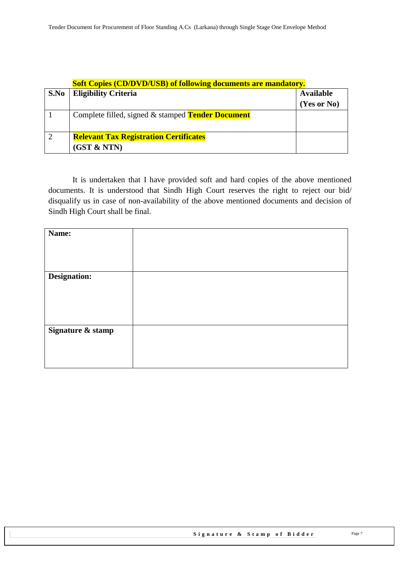|      | <b>Soft Copies (CD/DVD/USB) of following documents are mandatory.</b> |                                 |  |
|------|-----------------------------------------------------------------------|---------------------------------|--|
| S.No | <b>Eligibility Criteria</b>                                           | <b>Available</b><br>(Yes or No) |  |
|      | Complete filled, signed & stamped Tender Document                     |                                 |  |
| 2    | <b>Relevant Tax Registration Certificates</b><br>(GST & NTN)          |                                 |  |

It is undertaken that I have provided soft and hard copies of the above mentioned documents. It is understood that Sindh High Court reserves the right to reject our bid/ disqualify us in case of non-availability of the above mentioned documents and decision of Sindh High Court shall be final.

| Name:             |  |
|-------------------|--|
|                   |  |
|                   |  |
| Designation:      |  |
|                   |  |
|                   |  |
|                   |  |
|                   |  |
| Signature & stamp |  |
|                   |  |
|                   |  |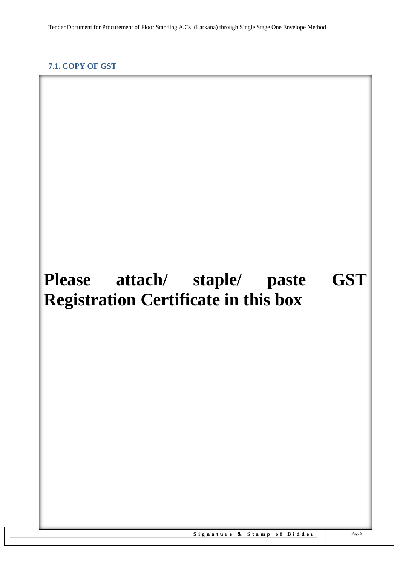**Please attach/ staple/ paste GST** 

**Registration Certificate in this box**

#### <span id="page-7-1"></span><span id="page-7-0"></span>**7.1. COPY OF GST**

#### Signature & Stamp of Bidder Page 8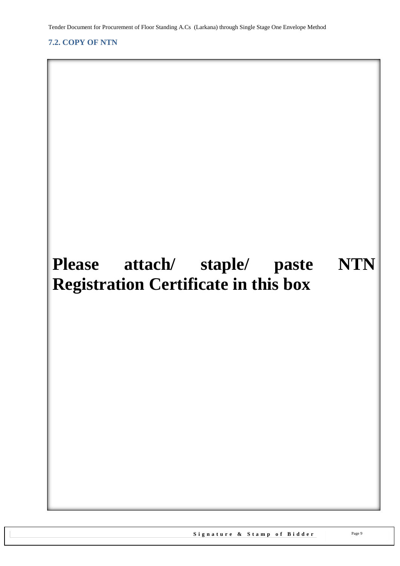<span id="page-8-1"></span><span id="page-8-0"></span>**7.2. COPY OF NTN**

# **Please attach/ staple/ paste NTN Registration Certificate in this box**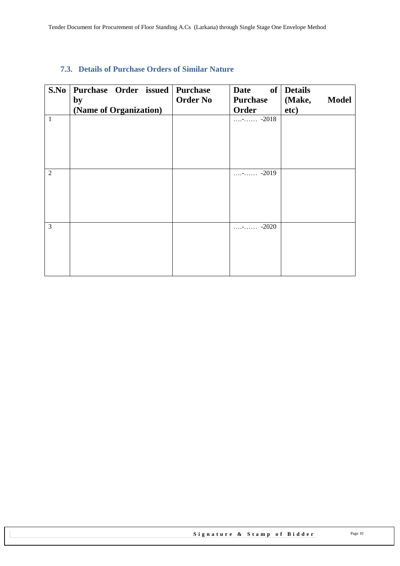#### <span id="page-9-0"></span>**7.3. Details of Purchase Orders of Similar Nature**

| S.No           | Purchase Order issued Purchase<br>by<br>(Name of Organization) | <b>Order No</b> | <b>Date</b><br><b>Purchase</b><br><b>Order</b> | of Details<br>(Make,<br><b>Model</b><br>etc) |
|----------------|----------------------------------------------------------------|-----------------|------------------------------------------------|----------------------------------------------|
| $\mathbf{1}$   |                                                                |                 | $\ldots$ - $\ldots$ -2018                      |                                              |
| $\overline{2}$ |                                                                |                 | $\cdots$ - $\cdots$ -2019                      |                                              |
| 3              |                                                                |                 | $\cdots$ - $\cdots$ -2020                      |                                              |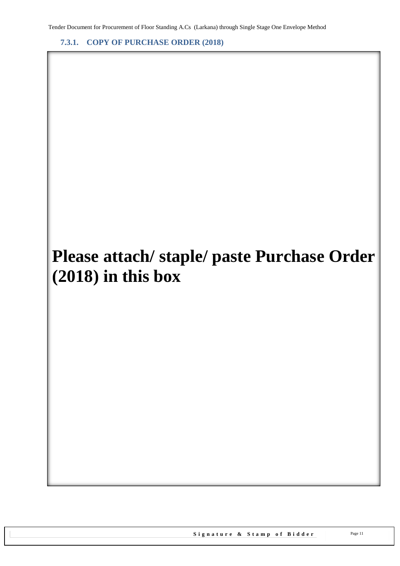<span id="page-10-0"></span>**7.3.1. COPY OF PURCHASE ORDER (2018)**

# **Please attach/ staple/ paste Purchase Order (2018) in this box**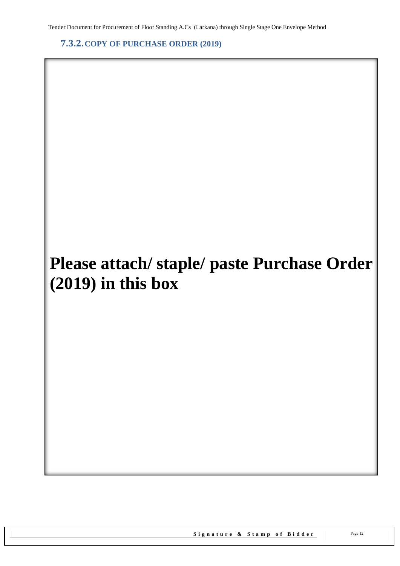<span id="page-11-0"></span>**7.3.2.COPY OF PURCHASE ORDER (2019)**

# **Please attach/ staple/ paste Purchase Order (2019) in this box**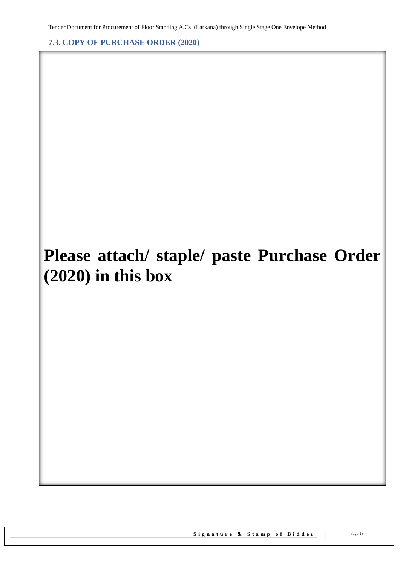<span id="page-12-0"></span>**7.3. COPY OF PURCHASE ORDER (2020)**

# **Please attach/ staple/ paste Purchase Order (2020) in this box**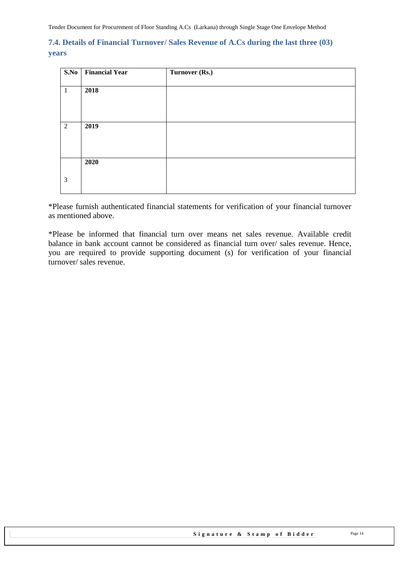#### <span id="page-13-0"></span>**7.4. Details of Financial Turnover/ Sales Revenue of A.Cs during the last three (03) years**

| S.No<br><b>Financial Year</b> | Turnover (Rs.) |
|-------------------------------|----------------|
|                               |                |
| 2018                          |                |
|                               |                |
|                               |                |
|                               |                |
|                               |                |
|                               |                |
|                               |                |
|                               |                |
|                               |                |
|                               |                |
|                               |                |
|                               |                |
|                               |                |
|                               | 2019<br>2020   |

\*Please furnish authenticated financial statements for verification of your financial turnover as mentioned above.

\*Please be informed that financial turn over means net sales revenue. Available credit balance in bank account cannot be considered as financial turn over/ sales revenue. Hence, you are required to provide supporting document (s) for verification of your financial turnover/ sales revenue.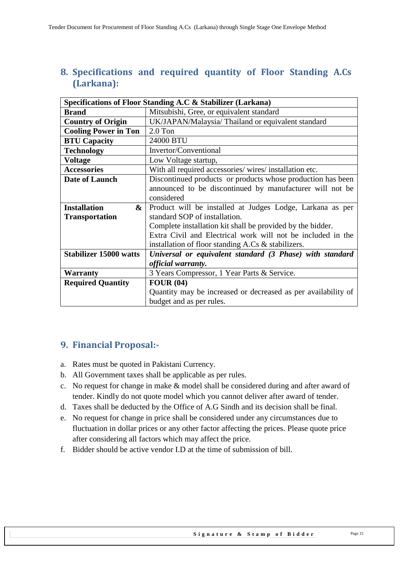# <span id="page-14-0"></span>**8. Specifications and required quantity of Floor Standing A.Cs (Larkana):**

|                               | Specifications of Floor Standing A.C & Stabilizer (Larkana)   |  |
|-------------------------------|---------------------------------------------------------------|--|
| <b>Brand</b>                  | Mitsubishi, Gree, or equivalent standard                      |  |
| <b>Country of Origin</b>      | UK/JAPAN/Malaysia/ Thailand or equivalent standard            |  |
| <b>Cooling Power in Ton</b>   | $2.0$ Ton                                                     |  |
| <b>BTU Capacity</b>           | 24000 BTU                                                     |  |
| <b>Technology</b>             | Invertor/Conventional                                         |  |
| <b>Voltage</b>                | Low Voltage startup,                                          |  |
| <b>Accessories</b>            | With all required accessories/ wires/ installation etc.       |  |
| Date of Launch                | Discontinued products or products whose production has been   |  |
|                               | announced to be discontinued by manufacturer will not be      |  |
|                               | considered                                                    |  |
| <b>Installation</b><br>&      | Product will be installed at Judges Lodge, Larkana as per     |  |
| <b>Transportation</b>         | standard SOP of installation.                                 |  |
|                               | Complete installation kit shall be provided by the bidder.    |  |
|                               | Extra Civil and Electrical work will not be included in the   |  |
|                               | installation of floor standing A.Cs & stabilizers.            |  |
| <b>Stabilizer 15000 watts</b> | Universal or equivalent standard (3 Phase) with standard      |  |
|                               | official warranty.                                            |  |
| <b>Warranty</b>               | 3 Years Compressor, 1 Year Parts & Service.                   |  |
| <b>Required Quantity</b>      | FOUR(04)                                                      |  |
|                               | Quantity may be increased or decreased as per availability of |  |
|                               | budget and as per rules.                                      |  |

# <span id="page-14-1"></span>**9. Financial Proposal:-**

- a. Rates must be quoted in Pakistani Currency.
- b. All Government taxes shall be applicable as per rules.
- c. No request for change in make & model shall be considered during and after award of tender. Kindly do not quote model which you cannot deliver after award of tender.
- d. Taxes shall be deducted by the Office of A.G Sindh and its decision shall be final.
- e. No request for change in price shall be considered under any circumstances due to fluctuation in dollar prices or any other factor affecting the prices. Please quote price after considering all factors which may affect the price.
- f. Bidder should be active vendor I.D at the time of submission of bill.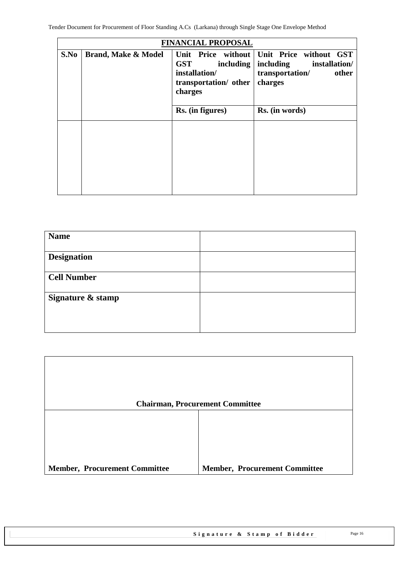|      |                                | <b>FINANCIAL PROPOSAL</b>                                                                          |                                                                                             |
|------|--------------------------------|----------------------------------------------------------------------------------------------------|---------------------------------------------------------------------------------------------|
| S.No | <b>Brand, Make &amp; Model</b> | Unit Price without<br><b>GST</b><br>including<br>installation/<br>transportation/ other<br>charges | Unit Price without GST<br>including<br>installation/<br>transportation/<br>other<br>charges |
|      |                                | Rs. (in figures)                                                                                   | Rs. (in words)                                                                              |
|      |                                |                                                                                                    |                                                                                             |

| <b>Name</b>        |  |
|--------------------|--|
| <b>Designation</b> |  |
| <b>Cell Number</b> |  |
| Signature & stamp  |  |
|                    |  |

|                                      | <b>Chairman, Procurement Committee</b> |
|--------------------------------------|----------------------------------------|
|                                      |                                        |
|                                      |                                        |
|                                      |                                        |
| <b>Member, Procurement Committee</b> | <b>Member, Procurement Committee</b>   |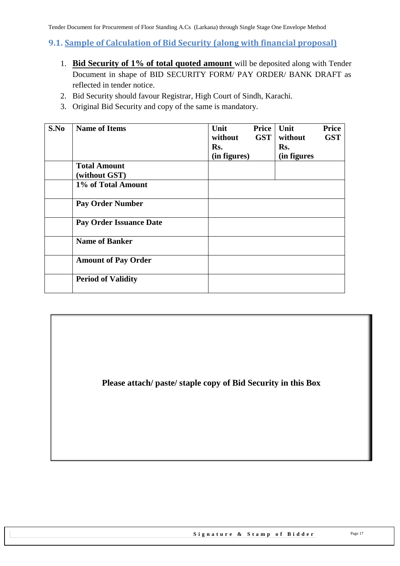#### <span id="page-16-0"></span>**9.1. Sample of Calculation of Bid Security (along with financial proposal)**

- 1. **Bid Security of 1% of total quoted amount** will be deposited along with Tender Document in shape of BID SECURITY FORM/ PAY ORDER/ BANK DRAFT as reflected in tender notice.
- 2. Bid Security should favour Registrar, High Court of Sindh, Karachi.
- 3. Original Bid Security and copy of the same is mandatory.

| S.No | <b>Name of Items</b>                 | Unit<br>without<br>Rs.<br>(in figures) | Price<br><b>GST</b> | Unit<br>without<br>Rs.<br>(in figures | <b>Price</b><br><b>GST</b> |
|------|--------------------------------------|----------------------------------------|---------------------|---------------------------------------|----------------------------|
|      | <b>Total Amount</b><br>(without GST) |                                        |                     |                                       |                            |
|      | 1% of Total Amount                   |                                        |                     |                                       |                            |
|      | <b>Pay Order Number</b>              |                                        |                     |                                       |                            |
|      | <b>Pay Order Issuance Date</b>       |                                        |                     |                                       |                            |
|      | <b>Name of Banker</b>                |                                        |                     |                                       |                            |
|      | <b>Amount of Pay Order</b>           |                                        |                     |                                       |                            |
|      | <b>Period of Validity</b>            |                                        |                     |                                       |                            |

**Please attach/ paste/ staple copy of Bid Security in this Box**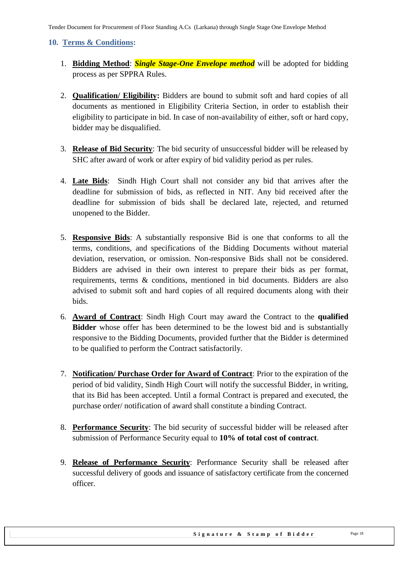#### <span id="page-17-0"></span>**10. Terms & Conditions:**

- 1. **Bidding Method**: *Single Stage-One Envelope method* will be adopted for bidding process as per SPPRA Rules.
- 2. **Qualification/ Eligibility:** Bidders are bound to submit soft and hard copies of all documents as mentioned in Eligibility Criteria Section, in order to establish their eligibility to participate in bid. In case of non-availability of either, soft or hard copy, bidder may be disqualified.
- 3. **Release of Bid Security**: The bid security of unsuccessful bidder will be released by SHC after award of work or after expiry of bid validity period as per rules.
- 4. **Late Bids**: Sindh High Court shall not consider any bid that arrives after the deadline for submission of bids, as reflected in NIT. Any bid received after the deadline for submission of bids shall be declared late, rejected, and returned unopened to the Bidder.
- 5. **Responsive Bids**: A substantially responsive Bid is one that conforms to all the terms, conditions, and specifications of the Bidding Documents without material deviation, reservation, or omission. Non-responsive Bids shall not be considered. Bidders are advised in their own interest to prepare their bids as per format, requirements, terms & conditions, mentioned in bid documents. Bidders are also advised to submit soft and hard copies of all required documents along with their bids.
- 6. **Award of Contract**: Sindh High Court may award the Contract to the **qualified Bidder** whose offer has been determined to be the lowest bid and is substantially responsive to the Bidding Documents, provided further that the Bidder is determined to be qualified to perform the Contract satisfactorily.
- 7. **Notification/ Purchase Order for Award of Contract**: Prior to the expiration of the period of bid validity, Sindh High Court will notify the successful Bidder, in writing, that its Bid has been accepted. Until a formal Contract is prepared and executed, the purchase order/ notification of award shall constitute a binding Contract.
- 8. **Performance Security**: The bid security of successful bidder will be released after submission of Performance Security equal to **10% of total cost of contract**.
- 9. **Release of Performance Security**: Performance Security shall be released after successful delivery of goods and issuance of satisfactory certificate from the concerned officer.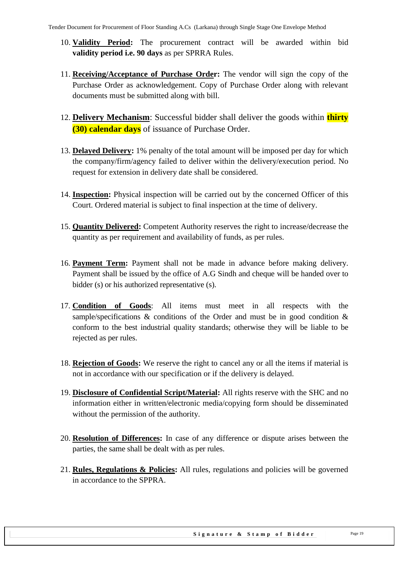- 10. **Validity Period:** The procurement contract will be awarded within bid **validity period i.e. 90 days** as per SPRRA Rules.
- 11. **Receiving/Acceptance of Purchase Order:** The vendor will sign the copy of the Purchase Order as acknowledgement. Copy of Purchase Order along with relevant documents must be submitted along with bill.
- 12. **Delivery Mechanism**: Successful bidder shall deliver the goods within **thirty (30) calendar days** of issuance of Purchase Order.
- 13. **Delayed Delivery:** 1% penalty of the total amount will be imposed per day for which the company/firm/agency failed to deliver within the delivery/execution period. No request for extension in delivery date shall be considered.
- 14. **Inspection:** Physical inspection will be carried out by the concerned Officer of this Court. Ordered material is subject to final inspection at the time of delivery.
- 15. **Quantity Delivered:** Competent Authority reserves the right to increase/decrease the quantity as per requirement and availability of funds, as per rules.
- 16. **Payment Term:** Payment shall not be made in advance before making delivery. Payment shall be issued by the office of A.G Sindh and cheque will be handed over to bidder (s) or his authorized representative (s).
- 17. **Condition of Goods**: All items must meet in all respects with the sample/specifications & conditions of the Order and must be in good condition & conform to the best industrial quality standards; otherwise they will be liable to be rejected as per rules.
- 18. **Rejection of Goods:** We reserve the right to cancel any or all the items if material is not in accordance with our specification or if the delivery is delayed.
- 19. **Disclosure of Confidential Script/Material:** All rights reserve with the SHC and no information either in written/electronic media/copying form should be disseminated without the permission of the authority.
- 20. **Resolution of Differences:** In case of any difference or dispute arises between the parties, the same shall be dealt with as per rules.
- 21. **Rules, Regulations & Policies:** All rules, regulations and policies will be governed in accordance to the SPPRA.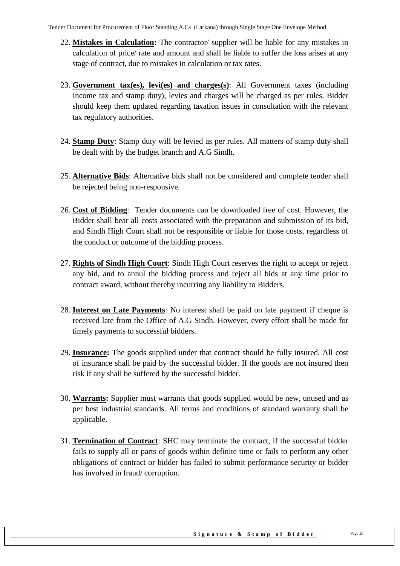- 22. **Mistakes in Calculation:** The contractor/ supplier will be liable for any mistakes in calculation of price/ rate and amount and shall be liable to suffer the loss arises at any stage of contract, due to mistakes in calculation or tax rates.
- 23. **Government tax(es), levi(es) and charges(s)**: All Government taxes (including Income tax and stamp duty), levies and charges will be charged as per rules. Bidder should keep them updated regarding taxation issues in consultation with the relevant tax regulatory authorities.
- 24. **Stamp Duty**: Stamp duty will be levied as per rules. All matters of stamp duty shall be dealt with by the budget branch and A.G Sindh.
- 25. **Alternative Bids**: Alternative bids shall not be considered and complete tender shall be rejected being non-responsive.
- 26. **Cost of Bidding**: Tender documents can be downloaded free of cost. However, the Bidder shall bear all costs associated with the preparation and submission of its bid, and Sindh High Court shall not be responsible or liable for those costs, regardless of the conduct or outcome of the bidding process.
- 27. **Rights of Sindh High Court**: Sindh High Court reserves the right to accept or reject any bid, and to annul the bidding process and reject all bids at any time prior to contract award, without thereby incurring any liability to Bidders.
- 28. **Interest on Late Payments**: No interest shall be paid on late payment if cheque is received late from the Office of A.G Sindh. However, every effort shall be made for timely payments to successful bidders.
- 29. **Insurance:** The goods supplied under that contract should be fully insured. All cost of insurance shall be paid by the successful bidder. If the goods are not insured then risk if any shall be suffered by the successful bidder.
- 30. **Warrants:** Supplier must warrants that goods supplied would be new, unused and as per best industrial standards. All terms and conditions of standard warranty shall be applicable.
- 31. **Termination of Contract**: SHC may terminate the contract, if the successful bidder fails to supply all or parts of goods within definite time or fails to perform any other obligations of contract or bidder has failed to submit performance security or bidder has involved in fraud/ corruption.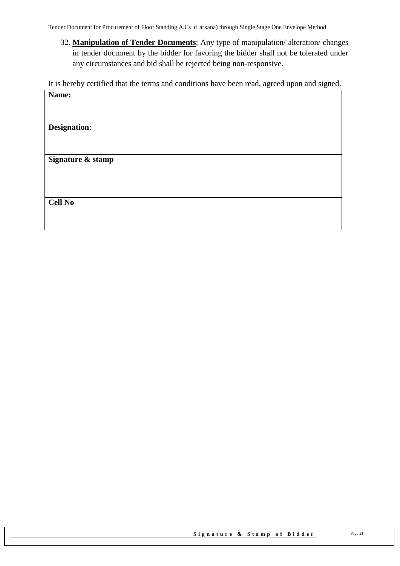32. **Manipulation of Tender Documents**: Any type of manipulation/ alteration/ changes in tender document by the bidder for favoring the bidder shall not be tolerated under any circumstances and bid shall be rejected being non-responsive.

It is hereby certified that the terms and conditions have been read, agreed upon and signed.

| Name:             |  |
|-------------------|--|
|                   |  |
|                   |  |
|                   |  |
| Designation:      |  |
|                   |  |
|                   |  |
| Signature & stamp |  |
|                   |  |
|                   |  |
|                   |  |
|                   |  |
| <b>Cell No</b>    |  |
|                   |  |
|                   |  |
|                   |  |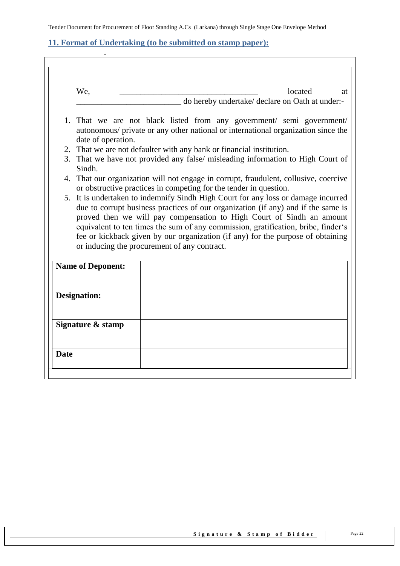### <span id="page-21-0"></span>**11. Format of Undertaking (to be submitted on stamp paper):**

.

| We,                      | located<br>at                                                                                                                                                                                                                                                                                                                      |
|--------------------------|------------------------------------------------------------------------------------------------------------------------------------------------------------------------------------------------------------------------------------------------------------------------------------------------------------------------------------|
|                          | do hereby undertake/ declare on Oath at under:-                                                                                                                                                                                                                                                                                    |
|                          | 1. That we are not black listed from any government/ semi government/<br>autonomous/ private or any other national or international organization since the                                                                                                                                                                         |
| date of operation.       | 2. That we are not defaulter with any bank or financial institution.                                                                                                                                                                                                                                                               |
| Sindh.                   | 3. That we have not provided any false/ misleading information to High Court of                                                                                                                                                                                                                                                    |
|                          | 4. That our organization will not engage in corrupt, fraudulent, collusive, coercive<br>or obstructive practices in competing for the tender in question.                                                                                                                                                                          |
|                          |                                                                                                                                                                                                                                                                                                                                    |
|                          | or inducing the procurement of any contract.                                                                                                                                                                                                                                                                                       |
| <b>Name of Deponent:</b> |                                                                                                                                                                                                                                                                                                                                    |
| <b>Designation:</b>      |                                                                                                                                                                                                                                                                                                                                    |
| Signature & stamp        | due to corrupt business practices of our organization (if any) and if the same is<br>proved then we will pay compensation to High Court of Sindh an amount<br>equivalent to ten times the sum of any commission, gratification, bribe, finder's<br>fee or kickback given by our organization (if any) for the purpose of obtaining |